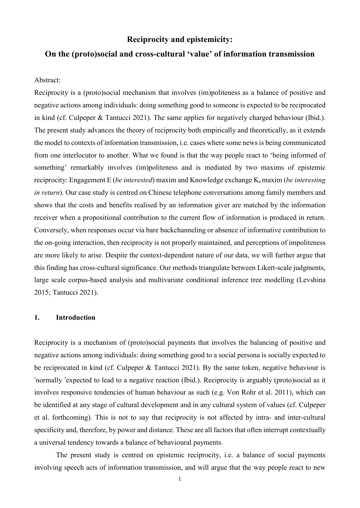# **Reciprocity and epistemicity:**

# **On the (proto)social and cross-cultural 'value' of information transmission**

#### Abstract:

Reciprocity is a (proto)social mechanism that involves (im)politeness as a balance of positive and negative actions among individuals: doing something good to someone is expected to be reciprocated in kind (cf. Culpeper & Tantucci 2021). The same applies for negatively charged behaviour (Ibid.). The present study advances the theory of reciprocity both empirically and theoretically, as it extends the model to contexts of information transmission, i.e. cases where some news is being communicated from one interlocutor to another. What we found is that the way people react to 'being informed of something' remarkably involves (im)politeness and is mediated by two maxims of epistemic reciprocity: Engagement E (*be interested*) maxim and Knowledge exchange Ke maxim (*be interesting in return*). Our case study is centred on Chinese telephone conversations among family members and shows that the costs and benefits realised by an information giver are matched by the information receiver when a propositional contribution to the current flow of information is produced in return. Conversely, when responses occur via bare backchanneling or absence of informative contribution to the on-going interaction, then reciprocity is not properly maintained, and perceptions of impoliteness are more likely to arise. Despite the context-dependent nature of our data, we will further argue that this finding has cross-cultural significance. Our methods triangulate between Likert-scale judgments, large scale corpus-based analysis and multivariate conditional inference tree modelling (Levshina 2015; Tantucci 2021).

### **1. Introduction**

Reciprocity is a mechanism of (proto)social payments that involves the balancing of positive and negative actions among individuals: doing something good to a social persona is socially expected to be reciprocated in kind (cf. Culpeper & Tantucci 2021). By the same token, negative behaviour is 'normally 'expected to lead to a negative reaction (Ibid.). Reciprocity is arguably (proto)social as it involves responsive tendencies of human behaviour as such (e.g. Von Rohr et al. 2011), which can be identified at any stage of cultural development and in any cultural system of values (cf. Culpeper et al. forthcoming). This is not to say that reciprocity is not affected by intra- and inter-cultural specificity and, therefore, by power and distance. These are all factors that often interrupt contextually a universal tendency towards a balance of behavioural payments.

The present study is centred on epistemic reciprocity, i.e. a balance of social payments involving speech acts of information transmission, and will argue that the way people react to new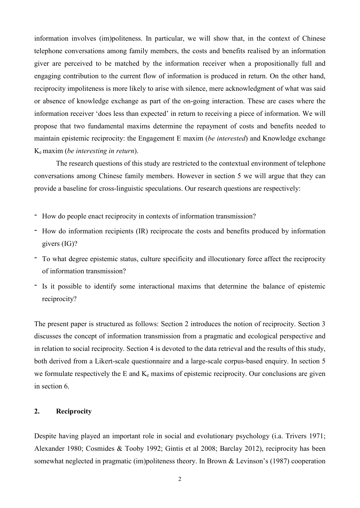information involves (im)politeness. In particular, we will show that, in the context of Chinese telephone conversations among family members, the costs and benefits realised by an information giver are perceived to be matched by the information receiver when a propositionally full and engaging contribution to the current flow of information is produced in return. On the other hand, reciprocity impoliteness is more likely to arise with silence, mere acknowledgment of what was said or absence of knowledge exchange as part of the on-going interaction. These are cases where the information receiver 'does less than expected' in return to receiving a piece of information. We will propose that two fundamental maxims determine the repayment of costs and benefits needed to maintain epistemic reciprocity: the Engagement E maxim (*be interested*) and Knowledge exchange Ke maxim (*be interesting in return*).

The research questions of this study are restricted to the contextual environment of telephone conversations among Chinese family members. However in section 5 we will argue that they can provide a baseline for cross-linguistic speculations. Our research questions are respectively:

- How do people enact reciprocity in contexts of information transmission?
- How do information recipients (IR) reciprocate the costs and benefits produced by information givers (IG)?
- To what degree epistemic status, culture specificity and illocutionary force affect the reciprocity of information transmission?
- Is it possible to identify some interactional maxims that determine the balance of epistemic reciprocity?

The present paper is structured as follows: Section 2 introduces the notion of reciprocity. Section 3 discusses the concept of information transmission from a pragmatic and ecological perspective and in relation to social reciprocity. Section 4 is devoted to the data retrieval and the results of this study, both derived from a Likert-scale questionnaire and a large-scale corpus-based enquiry. In section 5 we formulate respectively the  $E$  and  $K_e$  maxims of epistemic reciprocity. Our conclusions are given in section 6.

### **2. Reciprocity**

Despite having played an important role in social and evolutionary psychology (i.a. Trivers 1971; Alexander 1980; Cosmides & Tooby 1992; Gintis et al 2008; Barclay 2012), reciprocity has been somewhat neglected in pragmatic (im)politeness theory. In Brown & Levinson's (1987) cooperation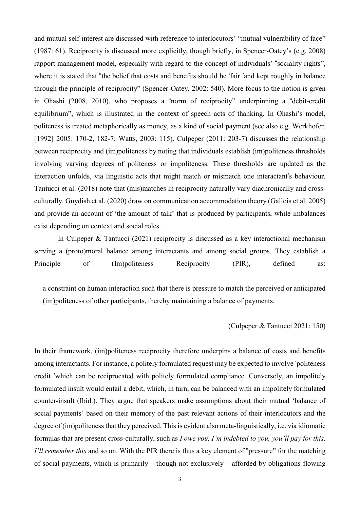and mutual self-interest are discussed with reference to interlocutors' "mutual vulnerability of face" (1987: 61). Reciprocity is discussed more explicitly, though briefly, in Spencer-Oatey's (e.g. 2008) rapport management model, especially with regard to the concept of individuals' "sociality rights", where it is stated that "the belief that costs and benefits should be 'fair 'and kept roughly in balance through the principle of reciprocity" (Spencer-Oatey, 2002: 540). More focus to the notion is given in Ohashi (2008, 2010), who proposes a "norm of reciprocity" underpinning a "debit-credit equilibrium", which is illustrated in the context of speech acts of thanking. In Ohashi's model, politeness is treated metaphorically as money, as a kind of social payment (see also e.g. Werkhofer, [1992] 2005: 170-2, 182-7; Watts, 2003: 115). Culpeper (2011: 203-7) discusses the relationship between reciprocity and (im)politeness by noting that individuals establish (im)politeness thresholds involving varying degrees of politeness or impoliteness. These thresholds are updated as the interaction unfolds, via linguistic acts that might match or mismatch one interactant's behaviour. Tantucci et al. (2018) note that (mis)matches in reciprocity naturally vary diachronically and crossculturally. Guydish et al. (2020) draw on communication accommodation theory (Gallois et al. 2005) and provide an account of 'the amount of talk' that is produced by participants, while imbalances exist depending on context and social roles.

 In Culpeper & Tantucci (2021) reciprocity is discussed as a key interactional mechanism serving a (proto)moral balance among interactants and among social groups. They establish a Principle of (Im)politeness Reciprocity (PIR), defined as:

a constraint on human interaction such that there is pressure to match the perceived or anticipated (im)politeness of other participants, thereby maintaining a balance of payments.

#### (Culpeper & Tantucci 2021: 150)

In their framework, (im)politeness reciprocity therefore underpins a balance of costs and benefits among interactants. For instance, a politely formulated request may be expected to involve 'politeness credit 'which can be reciprocated with politely formulated compliance. Conversely, an impolitely formulated insult would entail a debit, which, in turn, can be balanced with an impolitely formulated counter-insult (Ibid.). They argue that speakers make assumptions about their mutual 'balance of social payments' based on their memory of the past relevant actions of their interlocutors and the degree of (im)politeness that they perceived. This is evident also meta-linguistically, i.e. via idiomatic formulas that are present cross-culturally, such as *I owe you, I'm indebted to you, you'll pay for this, I'll remember this* and so on. With the PIR there is thus a key element of "pressure" for the matching of social payments, which is primarily – though not exclusively – afforded by obligations flowing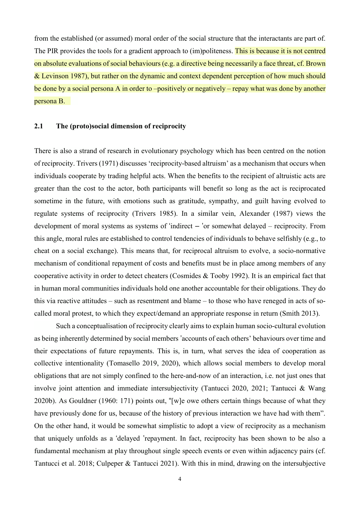from the established (or assumed) moral order of the social structure that the interactants are part of. The PIR provides the tools for a gradient approach to (im)politeness. This is because it is not centred on absolute evaluations of social behaviours (e.g. a directive being necessarily a face threat, cf. Brown & Levinson 1987), but rather on the dynamic and context dependent perception of how much should be done by a social persona A in order to –positively or negatively – repay what was done by another persona B.

### **2.1 The (proto)social dimension of reciprocity**

There is also a strand of research in evolutionary psychology which has been centred on the notion of reciprocity. Trivers (1971) discusses 'reciprocity-based altruism' as a mechanism that occurs when individuals cooperate by trading helpful acts. When the benefits to the recipient of altruistic acts are greater than the cost to the actor, both participants will benefit so long as the act is reciprocated sometime in the future, with emotions such as gratitude, sympathy, and guilt having evolved to regulate systems of reciprocity (Trivers 1985). In a similar vein, Alexander (1987) views the development of moral systems as systems of 'indirect – 'or somewhat delayed – reciprocity. From this angle, moral rules are established to control tendencies of individuals to behave selfishly (e.g., to cheat on a social exchange). This means that, for reciprocal altruism to evolve, a socio-normative mechanism of conditional repayment of costs and benefits must be in place among members of any cooperative activity in order to detect cheaters (Cosmides & Tooby 1992). It is an empirical fact that in human moral communities individuals hold one another accountable for their obligations. They do this via reactive attitudes – such as resentment and blame – to those who have reneged in acts of socalled moral protest, to which they expect/demand an appropriate response in return (Smith 2013).

Such a conceptualisation of reciprocity clearly aims to explain human socio-cultural evolution as being inherently determined by social members 'accounts of each others' behaviours over time and their expectations of future repayments. This is, in turn, what serves the idea of cooperation as collective intentionality (Tomasello 2019, 2020), which allows social members to develop moral obligations that are not simply confined to the here-and-now of an interaction, i.e. not just ones that involve joint attention and immediate intersubjectivity (Tantucci 2020, 2021; Tantucci & Wang 2020b). As Gouldner (1960: 171) points out, "[w]e owe others certain things because of what they have previously done for us, because of the history of previous interaction we have had with them". On the other hand, it would be somewhat simplistic to adopt a view of reciprocity as a mechanism that uniquely unfolds as a 'delayed 'repayment. In fact, reciprocity has been shown to be also a fundamental mechanism at play throughout single speech events or even within adjacency pairs (cf. Tantucci et al. 2018; Culpeper & Tantucci 2021). With this in mind, drawing on the intersubjective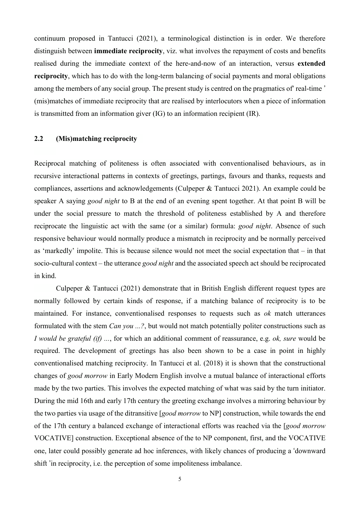continuum proposed in Tantucci (2021), a terminological distinction is in order. We therefore distinguish between **immediate reciprocity**, viz. what involves the repayment of costs and benefits realised during the immediate context of the here-and-now of an interaction, versus **extended reciprocity**, which has to do with the long-term balancing of social payments and moral obligations among the members of any social group. The present study is centred on the pragmatics of' real-time ' (mis)matches of immediate reciprocity that are realised by interlocutors when a piece of information is transmitted from an information giver (IG) to an information recipient (IR).

# **2.2 (Mis)matching reciprocity**

Reciprocal matching of politeness is often associated with conventionalised behaviours, as in recursive interactional patterns in contexts of greetings, partings, favours and thanks, requests and compliances, assertions and acknowledgements (Culpeper & Tantucci 2021). An example could be speaker A saying *good night* to B at the end of an evening spent together. At that point B will be under the social pressure to match the threshold of politeness established by A and therefore reciprocate the linguistic act with the same (or a similar) formula: *good night*. Absence of such responsive behaviour would normally produce a mismatch in reciprocity and be normally perceived as 'markedly' impolite. This is because silence would not meet the social expectation that – in that socio-cultural context – the utterance *good night* and the associated speech act should be reciprocated in kind.

Culpeper & Tantucci (2021) demonstrate that in British English different request types are normally followed by certain kinds of response, if a matching balance of reciprocity is to be maintained. For instance, conventionalised responses to requests such as *ok* match utterances formulated with the stem *Can you ...?*, but would not match potentially politer constructions such as *I would be grateful (if) ...*, for which an additional comment of reassurance, e.g. *ok, sure* would be required. The development of greetings has also been shown to be a case in point in highly conventionalised matching reciprocity. In Tantucci et al. (2018) it is shown that the constructional changes of *good morrow* in Early Modern English involve a mutual balance of interactional efforts made by the two parties. This involves the expected matching of what was said by the turn initiator. During the mid 16th and early 17th century the greeting exchange involves a mirroring behaviour by the two parties via usage of the ditransitive [*good morrow* to NP] construction, while towards the end of the 17th century a balanced exchange of interactional efforts was reached via the [*good morrow*  VOCATIVE] construction. Exceptional absence of the to NP component, first, and the VOCATIVE one, later could possibly generate ad hoc inferences, with likely chances of producing a 'downward shift 'in reciprocity, i.e. the perception of some impoliteness imbalance.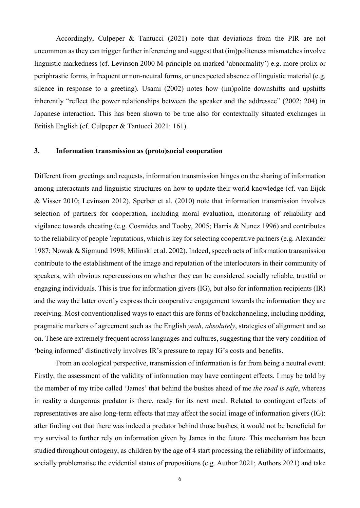Accordingly, Culpeper & Tantucci (2021) note that deviations from the PIR are not uncommon as they can trigger further inferencing and suggest that (im)politeness mismatches involve linguistic markedness (cf. Levinson 2000 M-principle on marked 'abnormality') e.g. more prolix or periphrastic forms, infrequent or non-neutral forms, or unexpected absence of linguistic material (e.g. silence in response to a greeting). Usami (2002) notes how (im)polite downshifts and upshifts inherently "reflect the power relationships between the speaker and the addressee" (2002: 204) in Japanese interaction. This has been shown to be true also for contextually situated exchanges in British English (cf. Culpeper & Tantucci 2021: 161).

#### **3. Information transmission as (proto)social cooperation**

Different from greetings and requests, information transmission hinges on the sharing of information among interactants and linguistic structures on how to update their world knowledge (cf. van Eijck & Visser 2010; Levinson 2012). Sperber et al. (2010) note that information transmission involves selection of partners for cooperation, including moral evaluation, monitoring of reliability and vigilance towards cheating (e.g. Cosmides and Tooby, 2005; Harris & Nunez 1996) and contributes to the reliability of people 'reputations, which is key for selecting cooperative partners (e.g. Alexander 1987; Nowak & Sigmund 1998; Milinski et al. 2002). Indeed, speech acts of information transmission contribute to the establishment of the image and reputation of the interlocutors in their community of speakers, with obvious repercussions on whether they can be considered socially reliable, trustful or engaging individuals. This is true for information givers (IG), but also for information recipients (IR) and the way the latter overtly express their cooperative engagement towards the information they are receiving. Most conventionalised ways to enact this are forms of backchanneling, including nodding, pragmatic markers of agreement such as the English *yeah*, *absolutely*, strategies of alignment and so on. These are extremely frequent across languages and cultures, suggesting that the very condition of 'being informed' distinctively involves IR's pressure to repay IG's costs and benefits.

From an ecological perspective, transmission of information is far from being a neutral event. Firstly, the assessment of the validity of information may have contingent effects. I may be told by the member of my tribe called 'James' that behind the bushes ahead of me *the road is safe*, whereas in reality a dangerous predator is there, ready for its next meal. Related to contingent effects of representatives are also long-term effects that may affect the social image of information givers (IG): after finding out that there was indeed a predator behind those bushes, it would not be beneficial for my survival to further rely on information given by James in the future. This mechanism has been studied throughout ontogeny, as children by the age of 4 start processing the reliability of informants, socially problematise the evidential status of propositions (e.g. Author 2021; Authors 2021) and take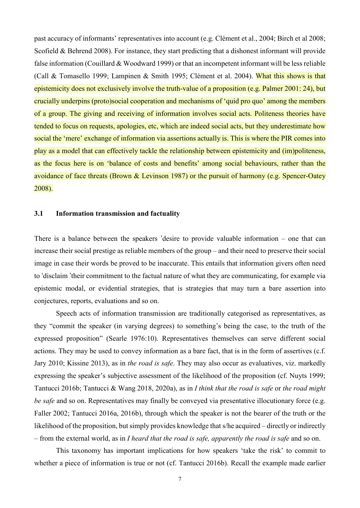past accuracy of informants' representatives into account (e.g. Clément et al., 2004; Birch et al 2008; Scofield & Behrend 2008). For instance, they start predicting that a dishonest informant will provide false information (Couillard & Woodward 1999) or that an incompetent informant will be less reliable (Call & Tomasello 1999; Lampinen & Smith 1995; Clément et al. 2004). What this shows is that epistemicity does not exclusively involve the truth-value of a proposition (e.g. Palmer 2001: 24), but crucially underpins (proto)social cooperation and mechanisms of 'quid pro quo' among the members of a group. The giving and receiving of information involves social acts. Politeness theories have tended to focus on requests, apologies, etc, which are indeed social acts, but they underestimate how social the 'mere' exchange of information via assertions actually is. This is where the PIR comes into play as a model that can effectively tackle the relationship between epistemicity and (im)politeness, as the focus here is on 'balance of costs and benefits' among social behaviours, rather than the avoidance of face threats (Brown & Levinson 1987) or the pursuit of harmony (e.g. Spencer-Oatey 2008).

#### **3.1 Information transmission and factuality**

There is a balance between the speakers 'desire to provide valuable information – one that can increase their social prestige as reliable members of the group – and their need to preserve their social image in case their words be proved to be inaccurate. This entails that information givers often need to 'disclaim 'their commitment to the factual nature of what they are communicating, for example via epistemic modal, or evidential strategies, that is strategies that may turn a bare assertion into conjectures, reports, evaluations and so on.

Speech acts of information transmission are traditionally categorised as representatives, as they "commit the speaker (in varying degrees) to something's being the case, to the truth of the expressed proposition" (Searle 1976:10). Representatives themselves can serve different social actions. They may be used to convey information as a bare fact, that is in the form of assertives (c.f. Jary 2010; Kissine 2013), as in *the road is safe*. They may also occur as evaluatives, viz. markedly expressing the speaker's subjective assessment of the likelihood of the proposition (cf. Nuyts 1999; Tantucci 2016b; Tantucci & Wang 2018, 2020a), as in *I think that the road is safe* or *the road might be safe* and so on. Representatives may finally be conveyed via presentative illocutionary force (e.g. Faller 2002; Tantucci 2016a, 2016b), through which the speaker is not the bearer of the truth or the likelihood of the proposition, but simply provides knowledge that s/he acquired – directly or indirectly – from the external world, as in *I heard that the road is safe, apparently the road is safe* and so on.

This taxonomy has important implications for how speakers 'take the risk' to commit to whether a piece of information is true or not (cf. Tantucci 2016b). Recall the example made earlier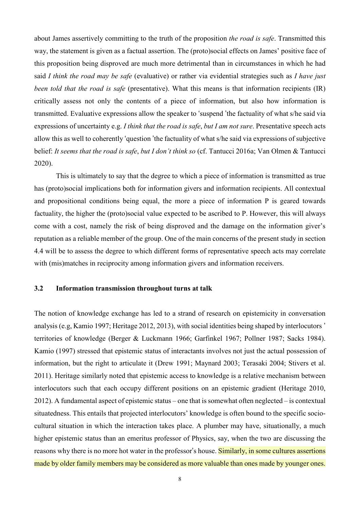about James assertively committing to the truth of the proposition *the road is safe*. Transmitted this way, the statement is given as a factual assertion. The (proto)social effects on James' positive face of this proposition being disproved are much more detrimental than in circumstances in which he had said *I think the road may be safe* (evaluative) or rather via evidential strategies such as *I have just been told that the road is safe* (presentative). What this means is that information recipients (IR) critically assess not only the contents of a piece of information, but also how information is transmitted. Evaluative expressions allow the speaker to 'suspend 'the factuality of what s/he said via expressions of uncertainty e.g. *I think that the road is safe*, *but I am not sure*. Presentative speech acts allow this as well to coherently 'question 'the factuality of what s/he said via expressions of subjective belief: *It seems that the road is safe*, *but I don't think so* (cf. Tantucci 2016a; Van Olmen & Tantucci 2020).

This is ultimately to say that the degree to which a piece of information is transmitted as true has (proto)social implications both for information givers and information recipients. All contextual and propositional conditions being equal, the more a piece of information P is geared towards factuality, the higher the (proto)social value expected to be ascribed to P. However, this will always come with a cost, namely the risk of being disproved and the damage on the information giver's reputation as a reliable member of the group. One of the main concerns of the present study in section 4.4 will be to assess the degree to which different forms of representative speech acts may correlate with (mis)matches in reciprocity among information givers and information receivers.

## **3.2 Information transmission throughout turns at talk**

The notion of knowledge exchange has led to a strand of research on epistemicity in conversation analysis (e.g, Kamio 1997; Heritage 2012, 2013), with social identities being shaped by interlocutors ' territories of knowledge (Berger & Luckmann 1966; Garfinkel 1967; Pollner 1987; Sacks 1984). Kamio (1997) stressed that epistemic status of interactants involves not just the actual possession of information, but the right to articulate it (Drew 1991; Maynard 2003; Terasaki 2004; Stivers et al. 2011). Heritage similarly noted that epistemic access to knowledge is a relative mechanism between interlocutors such that each occupy different positions on an epistemic gradient (Heritage 2010,  $2012$ ). A fundamental aspect of epistemic status – one that is somewhat often neglected – is contextual situatedness. This entails that projected interlocutors' knowledge is often bound to the specific sociocultural situation in which the interaction takes place. A plumber may have, situationally, a much higher epistemic status than an emeritus professor of Physics, say, when the two are discussing the reasons why there is no more hot water in the professor's house. Similarly, in some cultures assertions made by older family members may be considered as more valuable than ones made by younger ones.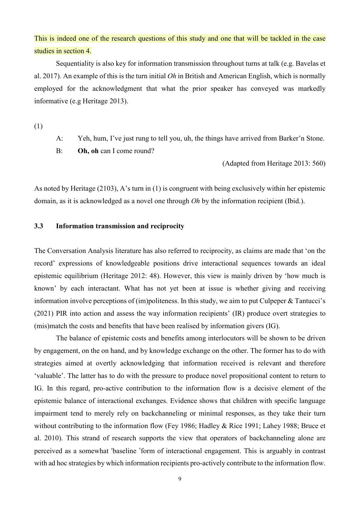This is indeed one of the research questions of this study and one that will be tackled in the case studies in section 4.

Sequentiality is also key for information transmission throughout turns at talk (e.g. Bavelas et al. 2017). An example of this is the turn initial *Oh* in British and American English, which is normally employed for the acknowledgment that what the prior speaker has conveyed was markedly informative (e.g Heritage 2013).

(1)

A: Yeh, hum, I've just rung to tell you, uh, the things have arrived from Barker'n Stone. B: **Oh, oh** can I come round?

(Adapted from Heritage 2013: 560)

As noted by Heritage (2103), A's turn in (1) is congruent with being exclusively within her epistemic domain, as it is acknowledged as a novel one through *Oh* by the information recipient (Ibid.).

### **3.3 Information transmission and reciprocity**

The Conversation Analysis literature has also referred to reciprocity, as claims are made that 'on the record' expressions of knowledgeable positions drive interactional sequences towards an ideal epistemic equilibrium (Heritage 2012: 48). However, this view is mainly driven by 'how much is known' by each interactant. What has not yet been at issue is whether giving and receiving information involve perceptions of (im)politeness. In this study, we aim to put Culpeper & Tantucci's (2021) PIR into action and assess the way information recipients' (IR) produce overt strategies to (mis)match the costs and benefits that have been realised by information givers (IG).

The balance of epistemic costs and benefits among interlocutors will be shown to be driven by engagement, on the on hand, and by knowledge exchange on the other. The former has to do with strategies aimed at overtly acknowledging that information received is relevant and therefore 'valuable'. The latter has to do with the pressure to produce novel propositional content to return to IG. In this regard, pro-active contribution to the information flow is a decisive element of the epistemic balance of interactional exchanges. Evidence shows that children with specific language impairment tend to merely rely on backchanneling or minimal responses, as they take their turn without contributing to the information flow (Fey 1986; Hadley & Rice 1991; Lahey 1988; Bruce et al. 2010). This strand of research supports the view that operators of backchanneling alone are perceived as a somewhat 'baseline 'form of interactional engagement. This is arguably in contrast with ad hoc strategies by which information recipients pro-actively contribute to the information flow.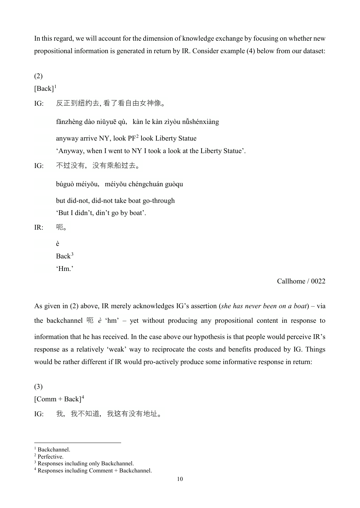In this regard, we will account for the dimension of knowledge exchange by focusing on whether new propositional information is generated in return by IR. Consider example (4) below from our dataset:

(2)

 $[Back]$ <sup>[1](#page-9-0)</sup>

IG: 反正到纽约去, 看了看自由女神像。

fǎnzhèng dào niǔyuē qù, kàn le kàn zìyòu nǚshénxiàng anyway arrive NY, look PF<sup>[2](#page-9-1)</sup> look Liberty Statue 'Anyway, when I went to NY I took a look at the Liberty Statue'.

IG: 不过没有,没有乘船过去。

búguò méiyǒu, méiyǒu chéngchuán guòqu

but did-not, did-not take boat go-through

'But I didn't, din't go by boat'.

IR: 呃。

è  $Back<sup>3</sup>$  $Back<sup>3</sup>$  $Back<sup>3</sup>$ 

'Hm.'

# Callhome / 0022

As given in (2) above, IR merely acknowledges IG's assertion (*she has never been on a boat*) – via the backchannel  $\overline{w}$  *è* 'hm' – yet without producing any propositional content in response to information that he has received. In the case above our hypothesis is that people would perceive IR's response as a relatively 'weak' way to reciprocate the costs and benefits produced by IG. Things would be rather different if IR would pro-actively produce some informative response in return:

(3)  $[Comm + Back]^4$  $[Comm + Back]^4$ IG: 我, 我不知道, 我这有没有地址。

-

<span id="page-9-0"></span><sup>1</sup> Backchannel.

<span id="page-9-1"></span><sup>2</sup> Perfective.

<span id="page-9-2"></span><sup>3</sup> Responses including only Backchannel.

<span id="page-9-3"></span><sup>4</sup> Responses including Comment + Backchannel.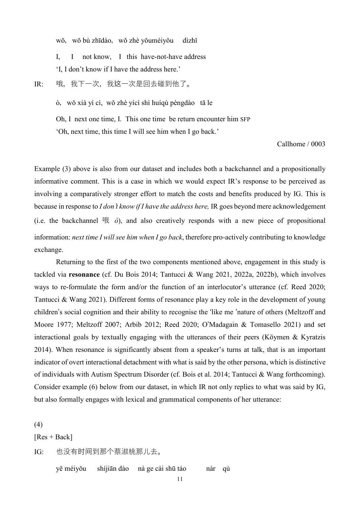wǒ, wǒ bù zhīdào, wǒ zhè yǒuméiyǒu dìzhǐ

I, I not know, I this have-not-have address 'I, I don't know if I have the address here.'

IR: 哦,我下一次,我这一次是回去碰到他了。

ò,wǒ xià yí cì, wǒ zhè yícì shì huíqù pèngdào tā le

Oh, I next one time, I. This one time be return encounter him SFP

'Oh, next time, this time I will see him when I go back.'

Callhome / 0003

Example (3) above is also from our dataset and includes both a backchannel and a propositionally informative comment. This is a case in which we would expect IR's response to be perceived as involving a comparatively stronger effort to match the costs and benefits produced by IG. This is because in response to *I don*'*t know if I have the address here,* IR goes beyond mere acknowledgement (i.e. the backchannel  $\oplus$   $\partial$ ), and also creatively responds with a new piece of propositional information: *next time I will see him when I go back*, therefore pro-actively contributing to knowledge exchange.

 Returning to the first of the two components mentioned above, engagement in this study is tackled via **resonance** (cf. Du Bois 2014; Tantucci & Wang 2021, 2022a, 2022b), which involves ways to re-formulate the form and/or the function of an interlocutor's utterance (cf. Reed 2020; Tantucci & Wang 2021). Different forms of resonance play a key role in the development of young children's social cognition and their ability to recognise the 'like me 'nature of others (Meltzoff and Moore 1977; Meltzoff 2007; Arbib 2012; Reed 2020; O'Madagain & Tomasello 2021) and set interactional goals by textually engaging with the utterances of their peers (Köymen & Kyratzis 2014). When resonance is significantly absent from a speaker's turns at talk, that is an important indicator of overt interactional detachment with what is said by the other persona, which is distinctive of individuals with Autism Spectrum Disorder (cf. Bois et al. 2014; Tantucci & Wang forthcoming). Consider example (6) below from our dataset, in which IR not only replies to what was said by IG, but also formally engages with lexical and grammatical components of her utterance:

(4)

 $[Res + Back]$ 

IG: 也没有时间到那个蔡淑桃那儿去。

yě méiyǒu shíjiān dào nà ge cài shū táo nàr qù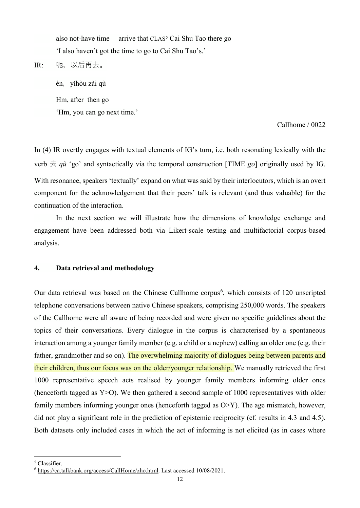also not-have time arrive that  $CLAS<sup>5</sup>$  $CLAS<sup>5</sup>$  $CLAS<sup>5</sup>$  Cai Shu Tao there go 'I also haven't got the time to go to Cai Shu Tao's.'

# IR: 呃,以后再去。

èn, yǐhòu zài qù Hm, after then go 'Hm, you can go next time.'

Callhome / 0022

In (4) IR overtly engages with textual elements of IG's turn, i.e. both resonating lexically with the verb  $\pm$  *qu* 'go' and syntactically via the temporal construction [TIME *go*] originally used by IG. With resonance, speakers 'textually' expand on what was said by their interlocutors, which is an overt component for the acknowledgement that their peers' talk is relevant (and thus valuable) for the continuation of the interaction.

In the next section we will illustrate how the dimensions of knowledge exchange and engagement have been addressed both via Likert-scale testing and multifactorial corpus-based analysis.

## **4. Data retrieval and methodology**

Our data retrieval was based on the Chinese Callhome corpus<sup>[6](#page-11-1)</sup>, which consists of 120 unscripted telephone conversations between native Chinese speakers, comprising 250,000 words. The speakers of the Callhome were all aware of being recorded and were given no specific guidelines about the topics of their conversations. Every dialogue in the corpus is characterised by a spontaneous interaction among a younger family member (e.g. a child or a nephew) calling an older one (e.g. their father, grandmother and so on). The overwhelming majority of dialogues being between parents and their children, thus our focus was on the older/younger relationship. We manually retrieved the first 1000 representative speech acts realised by younger family members informing older ones (henceforth tagged as Y>O). We then gathered a second sample of 1000 representatives with older family members informing younger ones (henceforth tagged as O>Y). The age mismatch, however, did not play a significant role in the prediction of epistemic reciprocity (cf. results in 4.3 and 4.5). Both datasets only included cases in which the act of informing is not elicited (as in cases where

<u>.</u>

<span id="page-11-0"></span><sup>5</sup> Classifier.

<span id="page-11-1"></span><sup>6</sup> [https://ca.talkbank.org/access/CallHome/zho.html.](https://ca.talkbank.org/access/CallHome/zho.html) Last accessed 10/08/2021.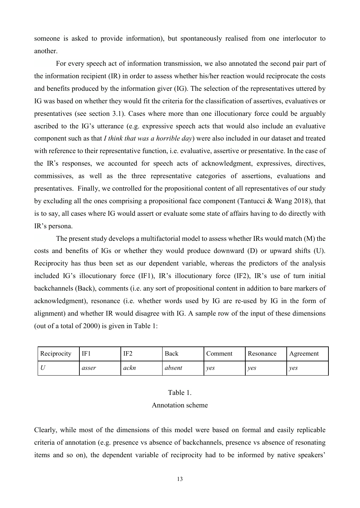someone is asked to provide information), but spontaneously realised from one interlocutor to another.

For every speech act of information transmission, we also annotated the second pair part of the information recipient (IR) in order to assess whether his/her reaction would reciprocate the costs and benefits produced by the information giver (IG). The selection of the representatives uttered by IG was based on whether they would fit the criteria for the classification of assertives, evaluatives or presentatives (see section 3.1). Cases where more than one illocutionary force could be arguably ascribed to the IG's utterance (e.g. expressive speech acts that would also include an evaluative component such as that *I think that was a horrible day*) were also included in our dataset and treated with reference to their representative function, i.e. evaluative, assertive or presentative. In the case of the IR's responses, we accounted for speech acts of acknowledgment, expressives, directives, commissives, as well as the three representative categories of assertions, evaluations and presentatives. Finally, we controlled for the propositional content of all representatives of our study by excluding all the ones comprising a propositional face component (Tantucci & Wang 2018), that is to say, all cases where IG would assert or evaluate some state of affairs having to do directly with IR's persona.

The present study develops a multifactorial model to assess whether IRs would match (M) the costs and benefits of IGs or whether they would produce downward (D) or upward shifts (U). Reciprocity has thus been set as our dependent variable, whereas the predictors of the analysis included IG's illocutionary force (IF1), IR's illocutionary force (IF2), IR's use of turn initial backchannels (Back), comments (i.e. any sort of propositional content in addition to bare markers of acknowledgment), resonance (i.e. whether words used by IG are re-used by IG in the form of alignment) and whether IR would disagree with IG. A sample row of the input of these dimensions (out of a total of 2000) is given in Table 1:

| Reciprocity | IF <sub>1</sub> | IF2  | Back   | Comment | Resonance | Agreement |
|-------------|-----------------|------|--------|---------|-----------|-----------|
|             | asser           | ackn | absent | ves     | ves       | ves       |

#### Table 1.

#### Annotation scheme

Clearly, while most of the dimensions of this model were based on formal and easily replicable criteria of annotation (e.g. presence vs absence of backchannels, presence vs absence of resonating items and so on), the dependent variable of reciprocity had to be informed by native speakers'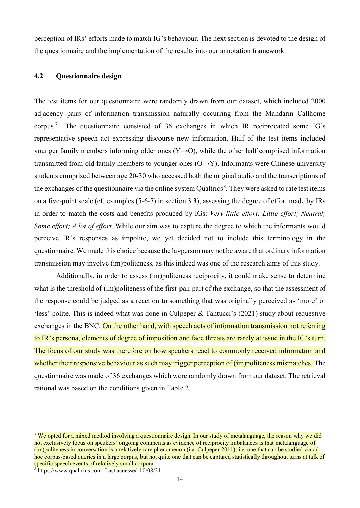perception of IRs' efforts made to match IG's behaviour. The next section is devoted to the design of the questionnaire and the implementation of the results into our annotation framework.

# **4.2 Questionnaire design**

The test items for our questionnaire were randomly drawn from our dataset, which included 2000 adjacency pairs of information transmission naturally occurring from the Mandarin Callhome corpus [7](#page-13-0) . The questionnaire consisted of 36 exchanges in which IR reciprocated some IG's representative speech act expressing discourse new information. Half of the test items included younger family members informing older ones  $(Y\rightarrow O)$ , while the other half comprised information transmitted from old family members to younger ones  $(O \rightarrow Y)$ . Informants were Chinese university students comprised between age 20-30 who accessed both the original audio and the transcriptions of the exchanges of the questionnaire via the online system Qualtrics<sup>[8](#page-13-1)</sup>. They were asked to rate test items on a five-point scale (cf. examples (5-6-7) in section 3.3), assessing the degree of effort made by IRs in order to match the costs and benefits produced by IGs: *Very little effort; Little effort; Neutral; Some effort; A lot of effort*. While our aim was to capture the degree to which the informants would perceive IR's responses as impolite, we yet decided not to include this terminology in the questionnaire. We made this choice because the layperson may not be aware that ordinary information transmission may involve (im)politeness, as this indeed was one of the research aims of this study.

Additionally, in order to assess (im)politeness reciprocity, it could make sense to determine what is the threshold of (im)politeness of the first-pair part of the exchange, so that the assessment of the response could be judged as a reaction to something that was originally perceived as 'more' or 'less' polite. This is indeed what was done in Culpeper & Tantucci's (2021) study about requestive exchanges in the BNC. On the other hand, with speech acts of information transmission not referring to IR's persona, elements of degree of imposition and face threats are rarely at issue in the IG's turn. The focus of our study was therefore on how speakers react to commonly received information and whether their responsive behaviour as such may trigger perception of (im)politeness mismatches. The questionnaire was made of 36 exchanges which were randomly drawn from our dataset. The retrieval rational was based on the conditions given in Table 2.

<u>.</u>

<span id="page-13-0"></span><sup>&</sup>lt;sup>7</sup> We opted for a mixed method involving a questionnaire design. In our study of metalanguage, the reason why we did not exclusively focus on speakers' ongoing comments as evidence of reciprocity imbalances is that metalanguage of (im)politeness in conversation is a relatively rare phenomenon (i.a. Culpeper 2011), i.e. one that can be studied via ad hoc corpus-based queries in a large corpus, but not quite one that can be captured statistically throughout turns at talk of specific speech events of relatively small corpora.<br><sup>8</sup> [https://www.qualtrics.com.](https://www.qualtrics.com/) Last accessed 10/08/21.

<span id="page-13-1"></span>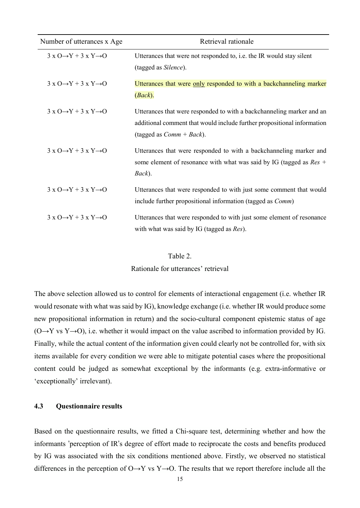| Number of utterances x Age                            | Retrieval rationale                                                                                                                                                             |  |  |  |
|-------------------------------------------------------|---------------------------------------------------------------------------------------------------------------------------------------------------------------------------------|--|--|--|
| $3 \times O \rightarrow Y + 3 \times Y \rightarrow O$ | Utterances that were not responded to, i.e. the IR would stay silent<br>(tagged as Silence).                                                                                    |  |  |  |
| $3 \times 0 \rightarrow Y + 3 \times Y \rightarrow 0$ | Utterances that were only responded to with a backchanneling marker<br>(Back).                                                                                                  |  |  |  |
| $3 \times 0 \rightarrow Y + 3 \times Y \rightarrow 0$ | Utterances that were responded to with a backchanneling marker and an<br>additional comment that would include further propositional information<br>(tagged as $Comm + Back$ ). |  |  |  |
| $3 \times 0 \rightarrow Y + 3 \times Y \rightarrow 0$ | Utterances that were responded to with a backchanneling marker and<br>some element of resonance with what was said by IG (tagged as $Res +$<br>Back).                           |  |  |  |
| $3 \times 0 \rightarrow Y + 3 \times Y \rightarrow 0$ | Utterances that were responded to with just some comment that would<br>include further propositional information (tagged as <i>Comm</i> )                                       |  |  |  |
| $3 \times 0 \rightarrow Y + 3 \times Y \rightarrow 0$ | Utterances that were responded to with just some element of resonance<br>with what was said by IG (tagged as Res).                                                              |  |  |  |

#### Table 2.

Rationale for utterances' retrieval

The above selection allowed us to control for elements of interactional engagement (i.e. whether IR would resonate with what was said by IG), knowledge exchange (i.e. whether IR would produce some new propositional information in return) and the socio-cultural component epistemic status of age  $(O \rightarrow Y \text{ vs } Y \rightarrow O)$ , i.e. whether it would impact on the value ascribed to information provided by IG. Finally, while the actual content of the information given could clearly not be controlled for, with six items available for every condition we were able to mitigate potential cases where the propositional content could be judged as somewhat exceptional by the informants (e.g. extra-informative or 'exceptionally' irrelevant).

# **4.3 Questionnaire results**

Based on the questionnaire results, we fitted a Chi-square test, determining whether and how the informants 'perception of IR's degree of effort made to reciprocate the costs and benefits produced by IG was associated with the six conditions mentioned above. Firstly, we observed no statistical differences in the perception of  $O \rightarrow Y$  vs Y $\rightarrow O$ . The results that we report therefore include all the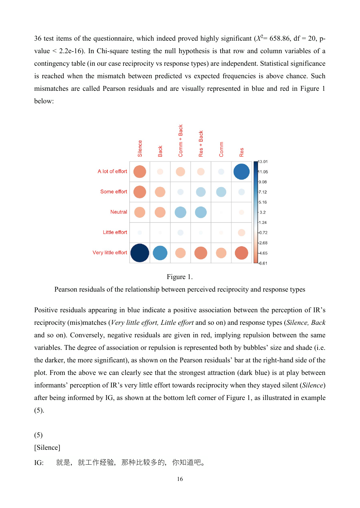36 test items of the questionnaire, which indeed proved highly significant ( $X^2$  = 658.86, df = 20, pvalue < 2.2e-16). In Chi-square testing the null hypothesis is that row and column variables of a contingency table (in our case reciprocity vs response types) are independent. Statistical significance is reached when the mismatch between predicted vs expected frequencies is above chance. Such mismatches are called Pearson residuals and are visually represented in blue and red in Figure 1 below:



Figure 1.

Pearson residuals of the relationship between perceived reciprocity and response types

Positive residuals appearing in blue indicate a positive association between the perception of IR's reciprocity (mis)matches (*Very little effort, Little effort* and so on) and response types (*Silence, Back* and so on). Conversely, negative residuals are given in red, implying repulsion between the same variables. The degree of association or repulsion is represented both by bubbles' size and shade (i.e. the darker, the more significant), as shown on the Pearson residuals' bar at the right-hand side of the plot. From the above we can clearly see that the strongest attraction (dark blue) is at play between informants' perception of IR's very little effort towards reciprocity when they stayed silent (*Silence*) after being informed by IG, as shown at the bottom left corner of Figure 1, as illustrated in example  $(5).$ 

### (5)

[Silence]

IG: 就是, 就工作经验, 那种比较多的, 你知道吧。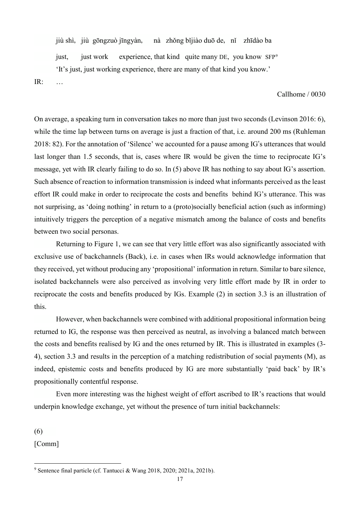jiù shì, jiù gōngzuò jīngyàn, nà zhǒng bǐjiào duō de, nǐ zhīdào ba just, just work experience, that kind quite many DE, you know SFP<sup>[9](#page-16-0)</sup> 'It's just, just working experience, there are many of that kind you know.'

IR: …

Callhome / 0030

On average, a speaking turn in conversation takes no more than just two seconds (Levinson 2016: 6), while the time lap between turns on average is just a fraction of that, i.e. around 200 ms (Ruhleman 2018: 82). For the annotation of 'Silence' we accounted for a pause among IG's utterances that would last longer than 1.5 seconds, that is, cases where IR would be given the time to reciprocate IG's message, yet with IR clearly failing to do so. In (5) above IR has nothing to say about IG's assertion. Such absence of reaction to information transmission is indeed what informants perceived as the least effort IR could make in order to reciprocate the costs and benefits behind IG's utterance. This was not surprising, as 'doing nothing' in return to a (proto)socially beneficial action (such as informing) intuitively triggers the perception of a negative mismatch among the balance of costs and benefits between two social personas.

 Returning to Figure 1, we can see that very little effort was also significantly associated with exclusive use of backchannels (Back), i.e. in cases when IRs would acknowledge information that they received, yet without producing any 'propositional' information in return. Similar to bare silence, isolated backchannels were also perceived as involving very little effort made by IR in order to reciprocate the costs and benefits produced by IGs. Example (2) in section 3.3 is an illustration of this.

However, when backchannels were combined with additional propositional information being returned to IG, the response was then perceived as neutral, as involving a balanced match between the costs and benefits realised by IG and the ones returned by IR. This is illustrated in examples (3- 4), section 3.3 and results in the perception of a matching redistribution of social payments (M), as indeed, epistemic costs and benefits produced by IG are more substantially 'paid back' by IR's propositionally contentful response.

 Even more interesting was the highest weight of effort ascribed to IR's reactions that would underpin knowledge exchange, yet without the presence of turn initial backchannels:

(6)

<u>.</u>

[Comm]

<span id="page-16-0"></span><sup>9</sup> Sentence final particle (cf. Tantucci & Wang 2018, 2020; 2021a, 2021b).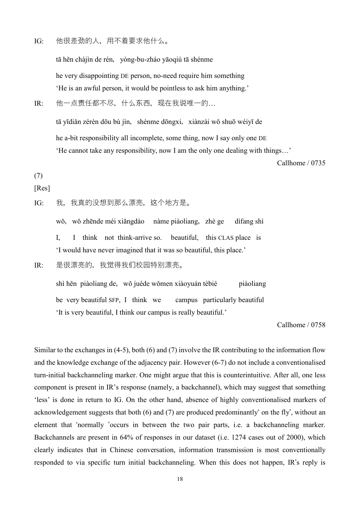IG: 他很差劲的人,用不着要求他什么。

tā hěn chàjìn de rén, yòng-bu-zháo yāoqiú tā shénme he very disappointing DE person, no-need require him something 'He is an awful person, it would be pointless to ask him anything.'

IR: 他一点责任都不尽,什么东西,现在我说唯一的…

tā yīdiǎn zérèn dōu bù jìn, shénme dōngxi, xiànzài wǒ shuō wéiyī de he a-bit responsibility all incomplete, some thing, now I say only one DE 'He cannot take any responsibility, now I am the only one dealing with things…'

Callhome / 0735

# (7)

# [Res]

IG: 我,我真的没想到那么漂亮,这个地方是。

wǒ, wǒ zhēnde méi xiǎngdào nàme piàoliang, zhè ge dìfang shì

I, I think not think-arrive so. beautiful, this CLAS place is 'I would have never imagined that it was so beautiful, this place.'

IR: 是很漂亮的,我觉得我们校园特别漂亮。

shì hěn piàoliang de, wǒ juéde wǒmen xiàoyuán tèbié piàoliang be very beautiful SFP, I think we campus particularly beautiful 'It is very beautiful, I think our campus is really beautiful.'

Callhome / 0758

Similar to the exchanges in (4-5), both (6) and (7) involve the IR contributing to the information flow and the knowledge exchange of the adjacency pair. However (6-7) do not include a conventionalised turn-initial backchanneling marker. One might argue that this is counterintuitive. After all, one less component is present in IR's response (namely, a backchannel), which may suggest that something 'less' is done in return to IG. On the other hand, absence of highly conventionalised markers of acknowledgement suggests that both (6) and (7) are produced predominantly' on the fly', without an element that 'normally 'occurs in between the two pair parts, i.e. a backchanneling marker. Backchannels are present in 64% of responses in our dataset (i.e. 1274 cases out of 2000), which clearly indicates that in Chinese conversation, information transmission is most conventionally responded to via specific turn initial backchanneling. When this does not happen, IR's reply is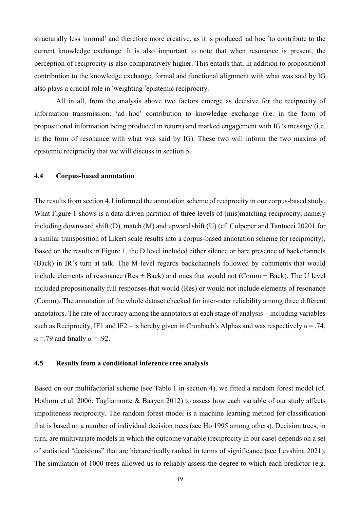structurally less 'normal' and therefore more creative, as it is produced 'ad hoc 'to contribute to the current knowledge exchange. It is also important to note that when resonance is present, the perception of reciprocity is also comparatively higher. This entails that, in addition to propositional contribution to the knowledge exchange, formal and functional alignment with what was said by IG also plays a crucial role in 'weighting 'epistemic reciprocity.

All in all, from the analysis above two factors emerge as decisive for the reciprocity of information transmission: 'ad hoc' contribution to knowledge exchange (i.e. in the form of propositional information being produced in return) and marked engagement with IG's message (i.e. in the form of resonance with what was said by IG). These two will inform the two maxims of epistemic reciprocity that we will discuss in section 5.

## **4.4 Corpus-based annotation**

The results from section 4.1 informed the annotation scheme of reciprocity in our corpus-based study. What Figure 1 shows is a data-driven partition of three levels of (mis)matching reciprocity, namely including downward shift (D), match (M) and upward shift (U) (cf. Culpeper and Tantucci 20201 for a similar transposition of Likert scale results into a corpus-based annotation scheme for reciprocity). Based on the results in Figure 1, the D level included either silence or bare presence of backchannels (Back) in IR's turn at talk. The M level regards backchannels followed by comments that would include elements of resonance ( $Res + Back$ ) and ones that would not ( $Comm + Back$ ). The U level included propositionally full responses that would (Res) or would not include elements of resonance (Comm). The annotation of the whole dataset checked for inter-rater reliability among three different annotators. The rate of accuracy among the annotators at each stage of analysis – including variables such as Reciprocity, IF1 and IF2 – is hereby given in Cronbach's Alphas and was respectively  $\alpha = .74$ ,  $\alpha$  =.79 and finally  $\alpha$  = .92.

### **4.5 Results from a conditional inference tree analysis**

Based on our multifactorial scheme (see Table 1 in section 4), we fitted a random forest model (cf. Hothorn et al. 2006; Tagliamonte & Baayen 2012) to assess how each variable of our study affects impoliteness reciprocity. The random forest model is a machine learning method for classification that is based on a number of individual decision trees (see Ho 1995 among others). Decision trees, in turn, are multivariate models in which the outcome variable (reciprocity in our case) depends on a set of statistical "decisions" that are hierarchically ranked in terms of significance (see Levshina 2021). The simulation of 1000 trees allowed us to reliably assess the degree to which each predictor (e.g.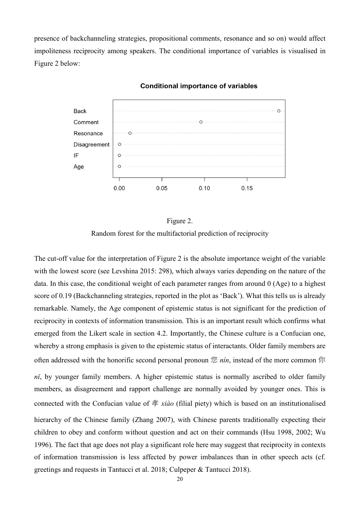presence of backchanneling strategies, propositional comments, resonance and so on) would affect impoliteness reciprocity among speakers. The conditional importance of variables is visualised in Figure 2 below:



#### **Conditional importance of variables**

Figure 2. Random forest for the multifactorial prediction of reciprocity

The cut-off value for the interpretation of Figure 2 is the absolute importance weight of the variable with the lowest score (see Levshina 2015: 298), which always varies depending on the nature of the data. In this case, the conditional weight of each parameter ranges from around 0 (Age) to a highest score of 0.19 (Backchanneling strategies, reported in the plot as 'Back'). What this tells us is already remarkable. Namely, the Age component of epistemic status is not significant for the prediction of reciprocity in contexts of information transmission. This is an important result which confirms what emerged from the Likert scale in section 4.2. Importantly, the Chinese culture is a Confucian one, whereby a strong emphasis is given to the epistemic status of interactants. Older family members are often addressed with the honorific second personal pronoun 您 *nín*, instead of the more common 你 *nǐ*, by younger family members. A higher epistemic status is normally ascribed to older family members, as disagreement and rapport challenge are normally avoided by younger ones. This is connected with the Confucian value of 孝 *xiào* (filial piety) which is based on an institutionalised hierarchy of the Chinese family (Zhang 2007), with Chinese parents traditionally expecting their children to obey and conform without question and act on their commands (Hsu 1998, 2002; Wu 1996). The fact that age does not play a significant role here may suggest that reciprocity in contexts of information transmission is less affected by power imbalances than in other speech acts (cf. greetings and requests in Tantucci et al. 2018; Culpeper & Tantucci 2018).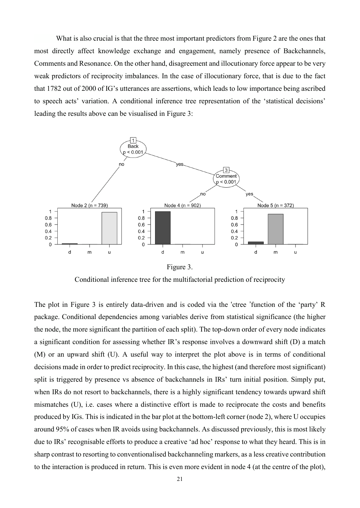What is also crucial is that the three most important predictors from Figure 2 are the ones that most directly affect knowledge exchange and engagement, namely presence of Backchannels, Comments and Resonance. On the other hand, disagreement and illocutionary force appear to be very weak predictors of reciprocity imbalances. In the case of illocutionary force, that is due to the fact that 1782 out of 2000 of IG's utterances are assertions, which leads to low importance being ascribed to speech acts' variation. A conditional inference tree representation of the 'statistical decisions' leading the results above can be visualised in Figure 3:



Figure 3.

Conditional inference tree for the multifactorial prediction of reciprocity

The plot in Figure 3 is entirely data-driven and is coded via the 'ctree 'function of the 'party' R package. Conditional dependencies among variables derive from statistical significance (the higher the node, the more significant the partition of each split). The top-down order of every node indicates a significant condition for assessing whether IR's response involves a downward shift (D) a match (M) or an upward shift (U). A useful way to interpret the plot above is in terms of conditional decisions made in order to predict reciprocity. In this case, the highest (and therefore most significant) split is triggered by presence vs absence of backchannels in IRs' turn initial position. Simply put, when IRs do not resort to backchannels, there is a highly significant tendency towards upward shift mismatches (U), i.e. cases where a distinctive effort is made to reciprocate the costs and benefits produced by IGs. This is indicated in the bar plot at the bottom-left corner (node 2), where U occupies around 95% of cases when IR avoids using backchannels. As discussed previously, this is most likely due to IRs' recognisable efforts to produce a creative 'ad hoc' response to what they heard. This is in sharp contrast to resorting to conventionalised backchanneling markers, as a less creative contribution to the interaction is produced in return. This is even more evident in node 4 (at the centre of the plot),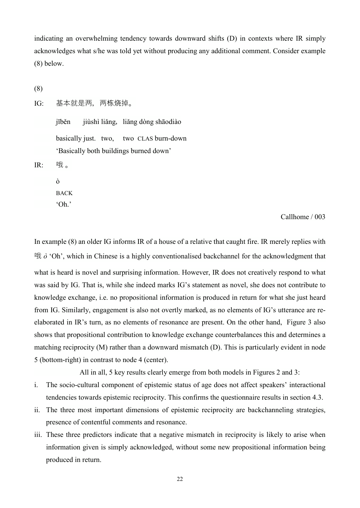indicating an overwhelming tendency towards downward shifts (D) in contexts where IR simply acknowledges what s/he was told yet without producing any additional comment. Consider example (8) below.

```
(8)
```
IG: 基本就是两,两栋烧掉。

jīběn jiùshì liǎng, liǎng dòng shāodiào basically just. two, two CLAS burn-down 'Basically both buildings burned down' IR: 哦。

> ò BACK 'Oh.'

> > Callhome / 003

In example (8) an older IG informs IR of a house of a relative that caught fire. IR merely replies with 哦 *ò* 'Oh', which in Chinese is a highly conventionalised backchannel for the acknowledgment that what is heard is novel and surprising information. However, IR does not creatively respond to what was said by IG. That is, while she indeed marks IG's statement as novel, she does not contribute to knowledge exchange, i.e. no propositional information is produced in return for what she just heard from IG. Similarly, engagement is also not overtly marked, as no elements of IG's utterance are reelaborated in IR's turn, as no elements of resonance are present. On the other hand, Figure 3 also shows that propositional contribution to knowledge exchange counterbalances this and determines a matching reciprocity (M) rather than a downward mismatch (D). This is particularly evident in node 5 (bottom-right) in contrast to node 4 (center).

All in all, 5 key results clearly emerge from both models in Figures 2 and 3:

- i. The socio-cultural component of epistemic status of age does not affect speakers' interactional tendencies towards epistemic reciprocity. This confirms the questionnaire results in section 4.3.
- ii. The three most important dimensions of epistemic reciprocity are backchanneling strategies, presence of contentful comments and resonance.
- iii. These three predictors indicate that a negative mismatch in reciprocity is likely to arise when information given is simply acknowledged, without some new propositional information being produced in return.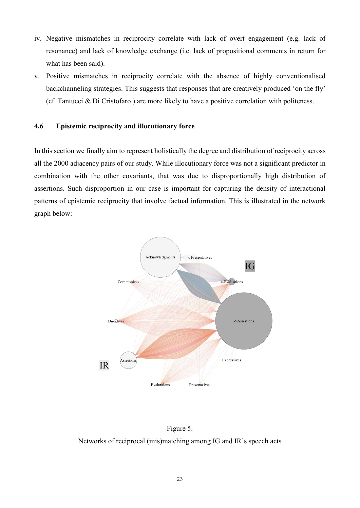- iv. Negative mismatches in reciprocity correlate with lack of overt engagement (e.g. lack of resonance) and lack of knowledge exchange (i.e. lack of propositional comments in return for what has been said).
- v. Positive mismatches in reciprocity correlate with the absence of highly conventionalised backchanneling strategies. This suggests that responses that are creatively produced 'on the fly' (cf. Tantucci & Di Cristofaro ) are more likely to have a positive correlation with politeness.

### **4.6 Epistemic reciprocity and illocutionary force**

In this section we finally aim to represent holistically the degree and distribution of reciprocity across all the 2000 adjacency pairs of our study. While illocutionary force was not a significant predictor in combination with the other covariants, that was due to disproportionally high distribution of assertions. Such disproportion in our case is important for capturing the density of interactional patterns of epistemic reciprocity that involve factual information. This is illustrated in the network graph below:



### Figure 5.

Networks of reciprocal (mis)matching among IG and IR's speech acts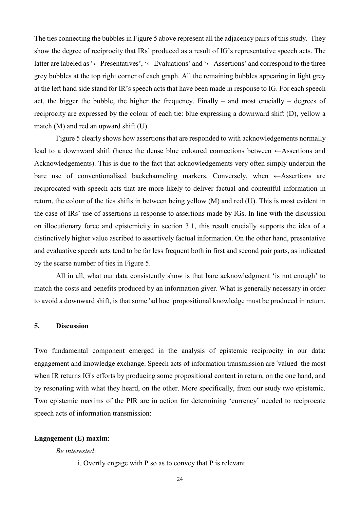The ties connecting the bubbles in Figure 5 above represent all the adjacency pairs of this study. They show the degree of reciprocity that IRs' produced as a result of IG's representative speech acts. The latter are labeled as '←Presentatives', '←Evaluations' and '←Assertions' and correspond to the three grey bubbles at the top right corner of each graph. All the remaining bubbles appearing in light grey at the left hand side stand for IR's speech acts that have been made in response to IG. For each speech act, the bigger the bubble, the higher the frequency. Finally – and most crucially – degrees of reciprocity are expressed by the colour of each tie: blue expressing a downward shift (D), yellow a match (M) and red an upward shift (U).

Figure 5 clearly shows how assertions that are responded to with acknowledgements normally lead to a downward shift (hence the dense blue coloured connections between ←Assertions and Acknowledgements). This is due to the fact that acknowledgements very often simply underpin the bare use of conventionalised backchanneling markers. Conversely, when  $\leftarrow$ Assertions are reciprocated with speech acts that are more likely to deliver factual and contentful information in return, the colour of the ties shifts in between being yellow (M) and red (U). This is most evident in the case of IRs' use of assertions in response to assertions made by IGs. In line with the discussion on illocutionary force and epistemicity in section 3.1, this result crucially supports the idea of a distinctively higher value ascribed to assertively factual information. On the other hand, presentative and evaluative speech acts tend to be far less frequent both in first and second pair parts, as indicated by the scarse number of ties in Figure 5.

All in all, what our data consistently show is that bare acknowledgment 'is not enough' to match the costs and benefits produced by an information giver. What is generally necessary in order to avoid a downward shift, is that some 'ad hoc 'propositional knowledge must be produced in return.

#### **5. Discussion**

Two fundamental component emerged in the analysis of epistemic reciprocity in our data: engagement and knowledge exchange. Speech acts of information transmission are 'valued 'the most when IR returns IG's efforts by producing some propositional content in return, on the one hand, and by resonating with what they heard, on the other. More specifically, from our study two epistemic. Two epistemic maxims of the PIR are in action for determining 'currency' needed to reciprocate speech acts of information transmission:

### **Engagement (E) maxim**:

#### *Be interested*:

i. Overtly engage with P so as to convey that P is relevant.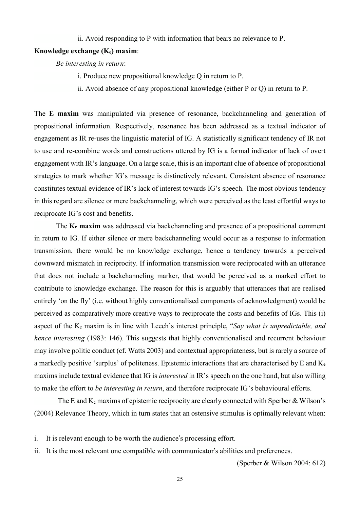ii. Avoid responding to P with information that bears no relevance to P.

# **Knowledge exchange (Ke) maxim**:

*Be interesting in return*:

- i. Produce new propositional knowledge Q in return to P.
- ii. Avoid absence of any propositional knowledge (either P or Q) in return to P.

The **E maxim** was manipulated via presence of resonance, backchanneling and generation of propositional information. Respectively, resonance has been addressed as a textual indicator of engagement as IR re-uses the linguistic material of IG. A statistically significant tendency of IR not to use and re-combine words and constructions uttered by IG is a formal indicator of lack of overt engagement with IR's language. On a large scale, this is an important clue of absence of propositional strategies to mark whether IG's message is distinctively relevant. Consistent absence of resonance constitutes textual evidence of IR's lack of interest towards IG's speech. The most obvious tendency in this regard are silence or mere backchanneling, which were perceived as the least effortful ways to reciprocate IG's cost and benefits.

The **K<sub>e</sub>** maxim was addressed via backchanneling and presence of a propositional comment in return to IG. If either silence or mere backchanneling would occur as a response to information transmission, there would be no knowledge exchange, hence a tendency towards a perceived downward mismatch in reciprocity. If information transmission were reciprocated with an utterance that does not include a backchanneling marker, that would be perceived as a marked effort to contribute to knowledge exchange. The reason for this is arguably that utterances that are realised entirely 'on the fly' (i.e. without highly conventionalised components of acknowledgment) would be perceived as comparatively more creative ways to reciprocate the costs and benefits of IGs. This (i) aspect of the Ke maxim is in line with Leech's interest principle, "*Say what is unpredictable, and hence interesting* (1983: 146). This suggests that highly conventionalised and recurrent behaviour may involve politic conduct (cf. Watts 2003) and contextual appropriateness, but is rarely a source of a markedly positive 'surplus' of politeness. Epistemic interactions that are characterised by E and K**<sup>e</sup>** maxims include textual evidence that IG is *interested* in IR's speech on the one hand, but also willing to make the effort to *be interesting in return*, and therefore reciprocate IG's behavioural efforts.

The E and  $K_e$  maxims of epistemic reciprocity are clearly connected with Sperber & Wilson's (2004) Relevance Theory, which in turn states that an ostensive stimulus is optimally relevant when:

- i. It is relevant enough to be worth the audience's processing effort.
- ii. It is the most relevant one compatible with communicator's abilities and preferences.

(Sperber & Wilson 2004: 612)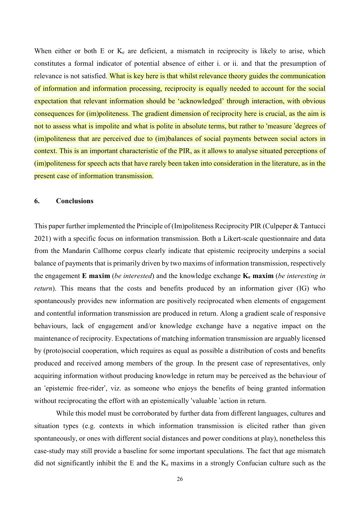When either or both E or  $K_e$  are deficient, a mismatch in reciprocity is likely to arise, which constitutes a formal indicator of potential absence of either i. or ii. and that the presumption of relevance is not satisfied. What is key here is that whilst relevance theory guides the communication of information and information processing, reciprocity is equally needed to account for the social expectation that relevant information should be 'acknowledged' through interaction, with obvious consequences for (im)politeness. The gradient dimension of reciprocity here is crucial, as the aim is not to assess what is impolite and what is polite in absolute terms, but rather to 'measure 'degrees of (im)politeness that are perceived due to (im)balances of social payments between social actors in context. This is an important characteristic of the PIR, as it allows to analyse situated perceptions of (im)politeness for speech acts that have rarely been taken into consideration in the literature, as in the present case of information transmission.

#### **6. Conclusions**

This paper further implemented the Principle of (Im)politeness Reciprocity PIR (Culpeper & Tantucci 2021) with a specific focus on information transmission. Both a Likert-scale questionnaire and data from the Mandarin Callhome corpus clearly indicate that epistemic reciprocity underpins a social balance of payments that is primarily driven by two maxims of information transmission, respectively the engagement **E maxim** (*be interested*) and the knowledge exchange **Ke maxim** (*be interesting in return*). This means that the costs and benefits produced by an information giver (IG) who spontaneously provides new information are positively reciprocated when elements of engagement and contentful information transmission are produced in return. Along a gradient scale of responsive behaviours, lack of engagement and/or knowledge exchange have a negative impact on the maintenance of reciprocity. Expectations of matching information transmission are arguably licensed by (proto)social cooperation, which requires as equal as possible a distribution of costs and benefits produced and received among members of the group. In the present case of representatives, only acquiring information without producing knowledge in return may be perceived as the behaviour of an 'epistemic free-rider', viz. as someone who enjoys the benefits of being granted information without reciprocating the effort with an epistemically 'valuable 'action in return.

While this model must be corroborated by further data from different languages, cultures and situation types (e.g. contexts in which information transmission is elicited rather than given spontaneously, or ones with different social distances and power conditions at play), nonetheless this case-study may still provide a baseline for some important speculations. The fact that age mismatch did not significantly inhibit the E and the Ke maxims in a strongly Confucian culture such as the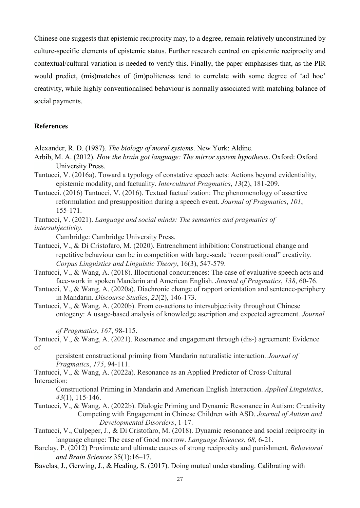Chinese one suggests that epistemic reciprocity may, to a degree, remain relatively unconstrained by culture-specific elements of epistemic status. Further research centred on epistemic reciprocity and contextual/cultural variation is needed to verify this. Finally, the paper emphasises that, as the PIR would predict, (mis)matches of (im)politeness tend to correlate with some degree of 'ad hoc' creativity, while highly conventionalised behaviour is normally associated with matching balance of social payments.

## **References**

- Alexander, R. D. (1987). *The biology of moral systems*. New York: Aldine.
- Arbib, M. A. (2012). *How the brain got language: The mirror system hypothesis*. Oxford: Oxford University Press.
- Tantucci, V. (2016a). Toward a typology of constative speech acts: Actions beyond evidentiality, epistemic modality, and factuality. *Intercultural Pragmatics*, *13*(2), 181-209.
- Tantucci. (2016) Tantucci, V. (2016). Textual factualization: The phenomenology of assertive reformulation and presupposition during a speech event. *Journal of Pragmatics*, *101*, 155-171.

Tantucci, V. (2021). *Language and social minds: The semantics and pragmatics of intersubjectivity.*

Cambridge: Cambridge University Press.

- Tantucci, V., & Di Cristofaro, M. (2020). Entrenchment inhibition: Constructional change and repetitive behaviour can be in competition with large-scale "recompositional" creativity. *Corpus Linguistics and Linguistic Theory*, 16(3), 547-579.
- Tantucci, V., & Wang, A. (2018). Illocutional concurrences: The case of evaluative speech acts and face-work in spoken Mandarin and American English. *Journal of Pragmatics*, *138*, 60-76.
- Tantucci, V., & Wang, A. (2020a). Diachronic change of rapport orientation and sentence-periphery in Mandarin. *Discourse Studies*, *22*(2), 146-173.
- Tantucci, V., & Wang, A. (2020b). From co-actions to intersubjectivity throughout Chinese ontogeny: A usage-based analysis of knowledge ascription and expected agreement. *Journal*

 *of Pragmatics*, *167*, 98-115.

Tantucci, V., & Wang, A. (2021). Resonance and engagement through (dis-) agreement: Evidence of

persistent constructional priming from Mandarin naturalistic interaction. *Journal of Pragmatics*, *175*, 94-111.

Tantucci, V., & Wang, A. (2022a). Resonance as an Applied Predictor of Cross-Cultural Interaction:

 Constructional Priming in Mandarin and American English Interaction. *Applied Linguistics*, *43*(1), 115-146.

- Tantucci, V., & Wang, A. (2022b). Dialogic Priming and Dynamic Resonance in Autism: Creativity Competing with Engagement in Chinese Children with ASD. *Journal of Autism and Developmental Disorders*, 1-17.
- Tantucci, V., Culpeper, J., & Di Cristofaro, M. (2018). Dynamic resonance and social reciprocity in language change: The case of Good morrow. *Language Sciences*, *68*, 6-21.
- Barclay, P. (2012) Proximate and ultimate causes of strong reciprocity and punishment. *Behavioral and Brain Sciences* 35(1):16–17.
- Bavelas, J., Gerwing, J., & Healing, S. (2017). Doing mutual understanding. Calibrating with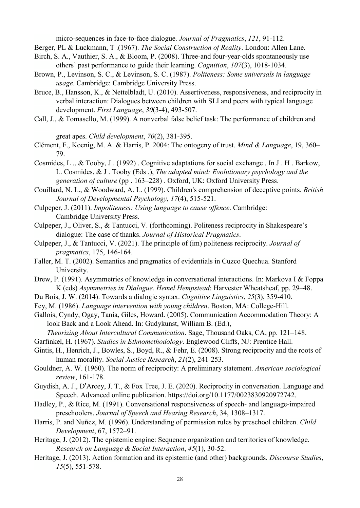micro-sequences in face-to-face dialogue. *Journal of Pragmatics*, *121*, 91-112.

- Berger, PL & Luckmann, T .(1967). *The Social Construction of Reality*. London: Allen Lane.
- Birch, S. A., Vauthier, S. A., & Bloom, P. (2008). Three-and four-year-olds spontaneously use others' past performance to guide their learning. *Cognition*, *107*(3), 1018-1034.
- Brown, P., Levinson, S. C., & Levinson, S. C. (1987). *Politeness: Some universals in language usage*. Cambridge: Cambridge University Press.
- Bruce, B., Hansson, K., & Nettelbladt, U. (2010). Assertiveness, responsiveness, and reciprocity in verbal interaction: Dialogues between children with SLI and peers with typical language development. *First Language*, *30*(3-4), 493-507.
- Call, J., & Tomasello, M. (1999). A nonverbal false belief task: The performance of children and

great apes. *Child development*, *70*(2), 381-395.

Clément, F., Koenig, M. A. & Harris, P. 2004: The ontogeny of trust. *Mind & Language*, 19, 360– 79.

Cosmides, L ., & Tooby, J . (1992) . Cognitive adaptations for social exchange . In J . H . Barkow, L. Cosmides, & J . Tooby (Eds .), *The adapted mind: Evolutionary psychology and the generation of culture* (pp . 163–228) . Oxford, UK: Oxford University Press.

Couillard, N. L., & Woodward, A. L. (1999). Children's comprehension of deceptive points. *British Journal of Developmental Psychology*, *17*(4), 515-521.

- Culpeper, J. (2011). *Impoliteness: Using language to cause offence*. Cambridge: Cambridge University Press.
- Culpeper, J., Oliver, S., & Tantucci, V. (forthcoming). Politeness reciprocity in Shakespeare's dialogue: The case of thanks. *Journal of Historical Pragmatics*.
- Culpeper, J., & Tantucci, V. (2021). The principle of (im) politeness reciprocity. *Journal of pragmatics*, 175, 146-164.
- Faller, M. T. (2002). Semantics and pragmatics of evidentials in Cuzco Quechua. Stanford University.
- Drew, P. (1991). Asymmetries of knowledge in conversational interactions. In: Markova I & Foppa K (eds) *Asymmetries in Dialogue. Hemel Hempstead*: Harvester Wheatsheaf, pp. 29–48.
- Du Bois, J. W. (2014). Towards a dialogic syntax. *Cognitive Linguistics*, *25*(3), 359-410.
- Fey, M. (1986). *Language intervention with young children*. Boston, MA: College-Hill.

Gallois, Cyndy, Ogay, Tania, Giles, Howard. (2005). Communication Accommodation Theory: A look Back and a Look Ahead. In: Gudykunst, William B. (Ed.),

*Theorizing About Intercultural Communication*. Sage, Thousand Oaks, CA, pp. 121–148.

Garfinkel, H. (1967). *Studies in Ethnomethodology*. Englewood Cliffs, NJ: Prentice Hall.

- Gintis, H., Henrich, J., Bowles, S., Boyd, R., & Fehr, E. (2008). Strong reciprocity and the roots of human morality. *Social Justice Research*, *21*(2), 241-253.
- Gouldner, A. W. (1960). The norm of reciprocity: A preliminary statement. *American sociological review*, 161-178.
- Guydish, A. J., D'Arcey, J. T., & Fox Tree, J. E. (2020). Reciprocity in conversation. Language and Speech. Advanced online publication. https://doi.org/10.1177/0023830920972742.
- Hadley, P., & Rice, M. (1991). Conversational responsiveness of speech- and language-impaired preschoolers. *Journal of Speech and Hearing Research*, 34, 1308–1317.
- Harris, P. and Nuñez, M. (1996). Understanding of permission rules by preschool children. *Child Development*, 67, 1572–91.
- Heritage, J. (2012). The epistemic engine: Sequence organization and territories of knowledge. *Research on Language & Social Interaction*, *45*(1), 30-52.
- Heritage, J. (2013). Action formation and its epistemic (and other) backgrounds. *Discourse Studies*, *15*(5), 551-578.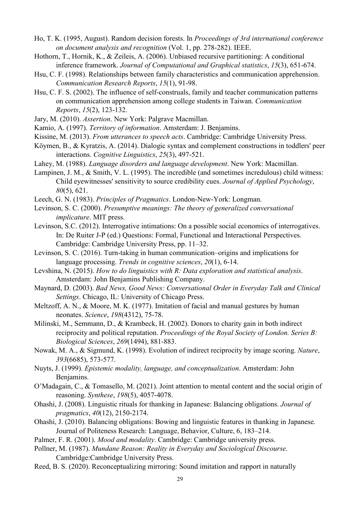- Ho, T. K. (1995, August). Random decision forests. In *Proceedings of 3rd international conference on document analysis and recognition* (Vol. 1, pp. 278-282). IEEE.
- Hothorn, T., Hornik, K., & Zeileis, A. (2006). Unbiased recursive partitioning: A conditional inference framework. *Journal of Computational and Graphical statistics*, *15*(3), 651-674.
- Hsu, C. F. (1998). Relationships between family characteristics and communication apprehension. *Communication Research Reports*, *15*(1), 91-98.
- Hsu, C. F. S. (2002). The influence of self-construals, family and teacher communication patterns on communication apprehension among college students in Taiwan. *Communication Reports*, *15*(2), 123-132.
- Jary, M. (2010). *Assertion*. New York: Palgrave Macmillan.
- Kamio, A. (1997). *Territory of information*. Amsterdam: J. Benjamins.
- Kissine, M. (2013). *From utterances to speech acts*. Cambridge: Cambridge University Press.
- Köymen, B., & Kyratzis, A. (2014). Dialogic syntax and complement constructions in toddlers' peer interactions. *Cognitive Linguistics*, *25*(3), 497-521.
- Lahey, M. (1988). *Language disorders and language development*. New York: Macmillan.
- Lampinen, J. M., & Smith, V. L. (1995). The incredible (and sometimes incredulous) child witness: Child eyewitnesses' sensitivity to source credibility cues. *Journal of Applied Psychology*, *80*(5), 621.
- Leech, G. N. (1983). *Principles of Pragmatics*. London-New-York: Longman.
- Levinson, S. C. (2000). *Presumptive meanings: The theory of generalized conversational implicature*. MIT press.
- Levinson, S.C. (2012). Interrogative intimations: On a possible social economics of interrogatives. In: De Ruiter J-P (ed.) Questions: Formal, Functional and Interactional Perspectives. Cambridge: Cambridge University Press, pp. 11–32.
- Levinson, S. C. (2016). Turn-taking in human communication–origins and implications for language processing. *Trends in cognitive sciences*, *20*(1), 6-14.
- Levshina, N. (2015). *How to do linguistics with R: Data exploration and statistical analysis*. Amsterdam: John Benjamins Publishing Company.
- Maynard, D. (2003). *Bad News, Good News: Conversational Order in Everyday Talk and Clinical Settings*. Chicago, IL: University of Chicago Press.
- Meltzoff, A. N., & Moore, M. K. (1977). Imitation of facial and manual gestures by human neonates. *Science*, *198*(4312), 75-78.
- Milinski, M., Semmann, D., & Krambeck, H. (2002). Donors to charity gain in both indirect reciprocity and political reputation. *Proceedings of the Royal Society of London. Series B: Biological Sciences*, *269*(1494), 881-883.
- Nowak, M. A., & Sigmund, K. (1998). Evolution of indirect reciprocity by image scoring. *Nature*, *393*(6685), 573-577.
- Nuyts, J. (1999). *Epistemic modality, language, and conceptualization*. Amsterdam: John Benjamins.
- O'Madagain, C., & Tomasello, M. (2021). Joint attention to mental content and the social origin of reasoning. *Synthese*, *198*(5), 4057-4078.
- Ohashi, J. (2008). Linguistic rituals for thanking in Japanese: Balancing obligations. *Journal of pragmatics*, *40*(12), 2150-2174.
- Ohashi, J. (2010). Balancing obligations: Bowing and linguistic features in thanking in Japanese. Journal of Politeness Research: Language, Behavior, Culture, 6, 183–214.
- Palmer, F. R. (2001). *Mood and modality*. Cambridge: Cambridge university press.
- Pollner, M. (1987). *Mundane Reason: Reality in Everyday and Sociological Discourse*. Cambridge:Cambridge University Press.
- Reed, B. S. (2020). Reconceptualizing mirroring: Sound imitation and rapport in naturally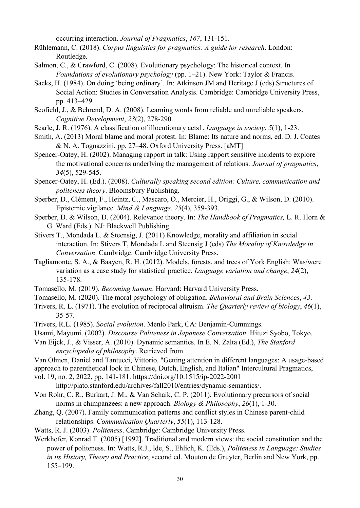occurring interaction. *Journal of Pragmatics*, *167*, 131-151.

- Rühlemann, C. (2018). *Corpus linguistics for pragmatics: A guide for research*. London: Routledge.
- Salmon, C., & Crawford, C. (2008). Evolutionary psychology: The historical context. In *Foundations of evolutionary psychology* (pp. 1–21). New York: Taylor & Francis.
- Sacks, H. (1984). On doing 'being ordinary'. In: Atkinson JM and Heritage J (eds) Structures of Social Action: Studies in Conversation Analysis. Cambridge: Cambridge University Press, pp. 413–429.
- Scofield, J., & Behrend, D. A. (2008). Learning words from reliable and unreliable speakers. *Cognitive Development*, *23*(2), 278-290.
- Searle, J. R. (1976). A classification of illocutionary acts1. *Language in society*, *5*(1), 1-23.
- Smith, A. (2013) Moral blame and moral protest. In: Blame: Its nature and norms, ed. D. J. Coates & N. A. Tognazzini, pp. 27–48. Oxford University Press. [aMT]
- Spencer-Oatey, H. (2002). Managing rapport in talk: Using rapport sensitive incidents to explore the motivational concerns underlying the management of relations. *Journal of pragmatics*, *34*(5), 529-545.
- Spencer-Oatey, H. (Ed.). (2008). *Culturally speaking second edition: Culture, communication and politeness theory*. Bloomsbury Publishing.
- Sperber, D., Clément, F., Heintz, C., Mascaro, O., Mercier, H., Origgi, G., & Wilson, D. (2010). Epistemic vigilance. *Mind & Language*, *25*(4), 359-393.
- Sperber, D. & Wilson, D. (2004). Relevance theory. In: *The Handbook of Pragmatics,* L. R. Horn & G. Ward (Eds.). NJ: Blackwell Publishing.
- Stivers T., Mondada L. & Steensig, J. (2011) Knowledge, morality and affiliation in social interaction. In: Stivers T, Mondada L and Steensig J (eds) *The Morality of Knowledge in Conversation*. Cambridge: Cambridge University Press.
- Tagliamonte, S. A., & Baayen, R. H. (2012). Models, forests, and trees of York English: Was/were variation as a case study for statistical practice. *Language variation and change*, *24*(2), 135-178.
- Tomasello, M. (2019). *Becoming human*. Harvard: Harvard University Press.
- Tomasello, M. (2020). The moral psychology of obligation. *Behavioral and Brain Sciences*, *43*.
- Trivers, R. L. (1971). The evolution of reciprocal altruism. *The Quarterly review of biology*, *46*(1), 35-57.
- Trivers, R.L. (1985). *Social evolution*. Menlo Park, CA: Benjamin-Cummings.
- Usami, Mayumi. (2002). *Discourse Politeness in Japanese Conversation*. Hituzi Syobo, Tokyo.
- Van Eijck, J., & Visser, A. (2010). Dynamic semantics. In E. N. Zalta (Ed.), *The Stanford encyclopedia of philosophy*. Retrieved from
- Van Olmen, Daniël and Tantucci, Vittorio. "Getting attention in different languages: A usage-based
- approach to parenthetical look in Chinese, Dutch, English, and Italian" Intercultural Pragmatics,
- vol. 19, no. 2, 2022, pp. 141-181. https://doi.org/10.1515/ip-2022-2001
	- [http://plato.stanford.edu/archives/fall2010/entries/dynamic-semantics/.](http://plato.stanford.edu/archives/fall2010/entries/dynamic-semantics/)
- Von Rohr, C. R., Burkart, J. M., & Van Schaik, C. P. (2011). Evolutionary precursors of social norms in chimpanzees: a new approach. *Biology & Philosophy*, *26*(1), 1-30.
- Zhang, Q. (2007). Family communication patterns and conflict styles in Chinese parent-child relationships. *Communication Quarterly*, *55*(1), 113-128.
- Watts, R. J. (2003). *Politeness*. Cambridge: Cambridge University Press.
- Werkhofer, Konrad T. (2005) [1992]. Traditional and modern views: the social constitution and the power of politeness. In: Watts, R.J., Ide, S., Ehlich, K. (Eds.), *Politeness in Language: Studies in its History, Theory and Practice*, second ed. Mouton de Gruyter, Berlin and New York, pp. 155–199.